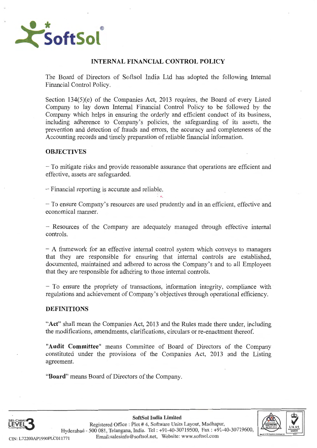

# **INTERNAL FINANCIAL CONTROL POLICY**

The Board of Directors of Softsol India Ltd has adopted the following Internal Financial Control Policy.

Section 134(5)(e) of the Companies Act, 2013 requires, the Board of every Listed Company to lay down Internal Financial Control Policy to be followed by the Company which helps in ensuring the orderly and efficient conduct of its business. including adherence to Company 's policies, the safeguarding of its assets, the prevention and detection of frauds and errors, the accuracy and completeness of the Accounting records and timely preparation of reliable financial information .

# **OBJECTIVES**

- To mitigate risks and provide reasonable assurance that operations are efficient and effective, assets are safeguarded.

- Financial reporting is accurate and reliable.

- To ensure Company 's resources are used prudently and in an efficient , effective and economical manner.

 $\mathcal{L}_{\mathcal{P}_{\mathcal{P}}}$ 

- Resources of the Company are adequately managed through effective internal controls.

- A framework for an effective internal control system which conveys to managers that they are responsible for ensuring that internal controls are established. documented, maintained and adhered to across the Company's and to all Employees that they are responsible for adhering to those internal controls.

- To ensure the propriety of transactions , information integrity, compliance with regulations and achievement of Company's objectives through operational efficiency .

# **DEFINITIONS**

**"Act"** shall mean the Companies Act, 2013 and the Rules made there under, including the modifications, amendments, clarifications, circulars or re-enactment thereof.

**"Audit Committee"** means Committee of Board of Directors of the Company constituted under the provisions of the Companies Act, 2013 and the Listing agreement.

"**Board**" means Board of Directors of the Company.

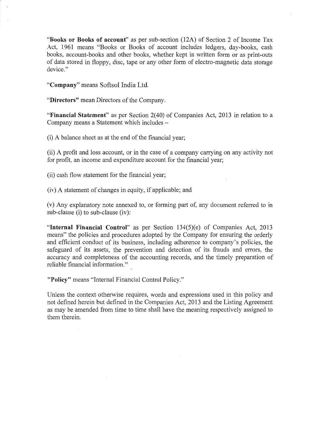**"Books or Books of account"** as per sub-section (12A) of Section 2 of Income Tax Act, 1961 means "Books or Books of account includes ledgers, day-books, cash books, account-books and other books, whether kept in written form or as print-outs of data stored in floppy, disc, tape or any other form of electro-magnetic data storage device."

**"Company"** means Softsol India Ltd.

**"Directors"** mean Directors of the Company.

**"Financial Statement"** as per Section 2(40) of Companies Act, 2013 in relation to a Company means a Statement which includes -

(i) A balance sheet as at the end of the financial year;

(ii) A profit and loss account, or in the case of a company carrying on any activity not for profit, an income and expenditure account for the financial year;

(ii) cash flow statement for the financial year;

(iv) A statement of changes in equity, if applicable; and

(v) Any explanatory note annexed to, or forming part of, any document referred to in sub-clause (i) to sub-clause (iv):

**"Internal Financial Control"** as per Section 134(5)(e) of Companies Act, 2013 means" the policies and procedures adopted by the Company for ensuring the orderly and efficient conduct of its business, including adherence to company's policies, the safeguard of its assets, the prevention and detection of its frauds and errors, the accuracy and completeness of the accounting records, and the timely preparation of reliable financial information."

**"Policy"** means "Internal Financial Control Policy."

Unless the context otherwise requires, words and expressions used in this policy and not defined herein but defined in the Companies Act, 2013 and the Listing Agreement as may be amended from time to time shall have the meaning respectively assigned to them therein.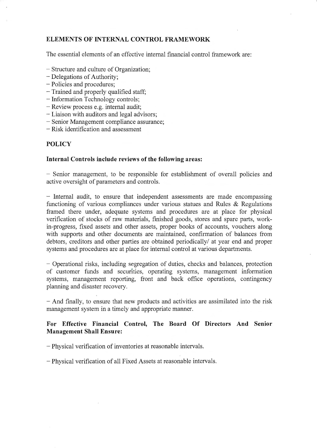# **ELEMENTS OF INTERNAL CONTROL FRAMEWORK**

The essential elements of an effective internal financial control framework are:

- Structure and culture of Organization;
- Delegations of Authority;
- Policies and procedures;
- Trained and properly qualified staff;
- Information Technology controls;
- Review process e.g. internal audit;
- Liaison with auditors and legal advisors;
- Senior Management compliance assurance;
- Risk identification and assessment

## **POLICY**

## **Internal Controls include reviews of the following areas:**

- Senior management, to be responsible for establishment of overall policies and active oversight of parameters and controls.

- Internal audit, to ensure that independent assessments are made encompassing functioning of various compliances under various statues and Rules & Regulations framed there under, adequate systems and procedures are at place for physical verification of stocks of raw materials, finished goods, stores and spare parts, workin-progress, fixed assets and other assets, proper books of accounts, vouchers along with supports and other documents are maintained, confirmation of balances from debtors, creditors and other parties are obtained periodically/ at year end and proper systems and procedures are at place for internal control at various departments.

- Operational risks, including segregation of duties, checks and balances, protection of customer funds and securities, operating systems, management information systems, management reporting, front and back office operations, contingency planning and disaster recovery.

- And finally, to ensure that new products and activities are assimilated into the risk management system in a timely and appropriate manner.

# **For Effective Financial Control, The Board Of Directors And Senior Management Shall Ensure:**

- Physical verification of inventories at reasonable intervals.

- Physical verification of all Fixed Assets at reasonable intervals.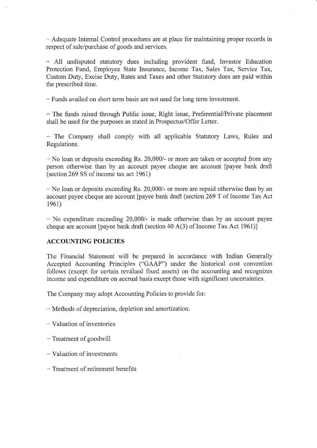- Adequate Internal Control procedures are at place for maintaining proper records in respect of sale/purchase of goods and services.

- All undisputed statutory dues including provident fund, Investor Education Protection Fund, Employee State Insurance, Income Tax, Sales Tax, Service Tax, Custom Duty, Excise Duty, Rates and Taxes and other Statutory dues are paid within the prescribed time.

- Funds availed on short term basis are not used for long term investment.

- The funds raised through Public issue, Right issue, Preferential/Private placement shall be used for the purposes as stated in Prospectus/Offer Letter.

- The Company shall comply with all applicable Statutory Laws, Rules and Regulations.

- No loan or deposits exceeding Rs. 20,000/- or more are taken or accepted from any person otherwise than by an account payee cheque are account [payee bank draft  $(section 269 SS of income tax act 1961)$ 

- No loan or deposits exceeding Rs. 20,000/- or more are repaid otherwise than by an account payee cheque are account [payee bank draft (section 269 T of Income Tax Act 1961)

- No expenditure exceeding 20,000/- is made otherwise than by an account payee cheque are account [payee bank draft (section 40 A(3) of Income Tax Act 1961)]

# **ACCOUNTING POLICIES**

The Financial Statement will be prepared in accordance with Indian Generally Accepted Accounting Principles ("GAAP") under the historical cost convention follows (except for certain revalued fixed assets) on the accounting and recognizes income and expenditure on accrual basis except those with significant uncertainties.

The Company may adopt Accounting Policies to provide for:

- Methods of depreciation, depletion and amortization .
- Valuation of inventories
- Treatment of goodwill
- Valuation of investments
- Treatment of retirement benefits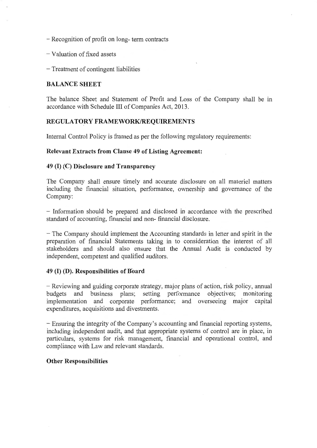- Recognition of profit on long- term contracts
- Valuation of fixed assets
- Treatment of contingent liabilities

## **BALANCE SHEET**

The balance Sheet and Statement of Profit and Loss of the Company shall be in accordance with Schedule III of Companies Act, 2013.

## **REGULATORY FRAMEWORK/REQUIREMENTS**

Internal Control Policy is framed as per the following regulatory requirements:

### **Relevant Extracts from Clause 49 of Listing Agreement:**

# **49 (I) (C) Disclosure and Transparency**

The Company shall ensure timely and accurate disclosure on all materiel matters including the financial situation, performance, ownership and governance of the Company:

- Information should be prepared and disclosed in accordance with the prescribed standard of accounting, financial and non- financial disclosure.

- The Company should implement the Accounting standards in letter and spirit in the preparation of financial Statements taking in to consideration the interest of all stakeholders and should also ensure that the Annual Audit is conducted by independent, competent and qualified auditors.

### **49 (I) (D). Responsibilities of Hoard**

- Reviewing and guiding corporate strategy, major plans of action, risk policy, annual budgets and business plans; setting performance objectives; monitoring implementation and corporate performance; and overseeing major capital expenditures, acquisitions and divestments.

- Ensuring the integrity of the Company's accounting and financial reporting systems, including independent audit, and that appropriate systems of control are in place, in particulars, systems for risk management, financial and operational control, and compliance with Law and relevant standards.

### **Other Responsibilities**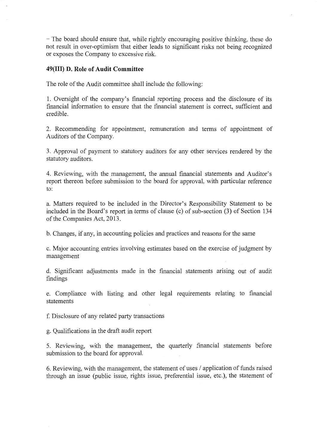- The board should ensure that, while rightly encouraging positive thinking, these do not result in over-optimism that either leads to significant risks not being recognized or exposes the Company to excessive risk.

## **49(111) D. Role of Audit Committee**

The role of the Audit committee shall include the following:

1. Oversight of the company's financial reporting process and the disclosure of its financial information to ensure that the financial statement is correct, sufficient and credible.

2. Recommending for appointment, remuneration and terms of appointment of Auditors of the Company.

3. Approval of payment to statutory auditors for any other services rendered by the statutory auditors.

4. Reviewing, with the management, the annual financial statements and Auditor's report thereon before submission to the board for approval, with particular reference to:

a. Matters required to be included in the Director's Responsibility Statement to be included in the Board 's report in terms of clause (c) of sub-section (3) of Section 134 of the Companies Act, 2013.

b. Changes, if any, in accounting policies and practices and reasons for the same

c. Major accounting entries involving estimates based on the exercise of judgment by management

d. Significant adjustments made in the financial statements arising out of audit findings

e. Compliance with listing and other legal requirements relating to financial statements

f. Disclosure of any related party transactions

g. Qualifications in the draft audit report

5. Reviewing, with the management, the quarterly financial statements before submission to the board for approval.

6. Reviewing, with the management, the statement of uses / application of funds raised through an issue (public issue, rights issue, preferential issue, etc.) ; the statement of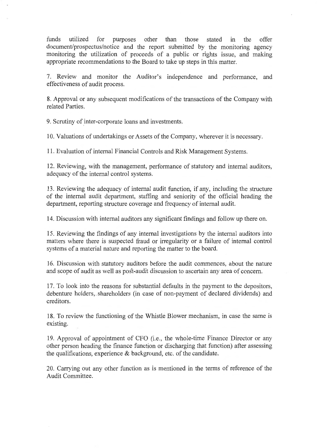funds utilized for purposes other than those stated in the offer document/prospectus/notice and the report submitted by the monitoring agency monitoring the utilization of proceeds of a public or rights issue, and making appropriate recommendations to the Board to take up steps in this matter.

7. Review and monitor the Auditor's independence and performance, and effectiveness of audit process.

8. Approval or any subsequent modifications of the transactions of the Company with related Parties.

9. Scrutiny of inter-corporate loans and investments.

10. Valuations of undertakings or Assets of the Company, wherever it is necessary.

11. Evaluation of internal Financial Controls and Risk Management Systems.

12. Reviewing, with the management, performance of statutory and internal auditors, adequacy of the internal control systems.

13. Reviewing the adequacy of internal audit function, if any, including the structure of the internal audit department, staffing and seniority of the official heading the department, reporting structure coverage and frequency of internal audit.

14. Discussion with internal auditors any significant findings and follow up there on.

15. Reviewing the findings of any internal investigations by the internal auditors into matters where there is suspected fraud or irregularity or a failure of internal control systems of a material nature and reporting the matter to the board.

16. Discussion with statutory auditors before the audit commences, about the nature and scope of audit as well as post-audit discussion to ascertain any area of concern.

17. To look into the reasons for substantial defaults in the payment to the depositors, debenture holders, shareholders (in case of non-payment of declared dividends) and creditors.

18. To review the functioning of the Whistle Blower mechanism, in case the same is existing.

19. Approval of appointment of CFO (i.e., the whole-time Finance Director or any other person heading the finance function or discharging that function) after assessing the qualifications, experience & background, etc. of the candidate.

20. Carrying out any other function as is mentioned in the terms of reference of the Audit Committee.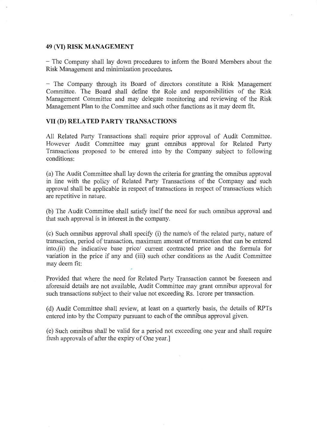#### **49 (VI) RISK MANAGEMENT**

- The Company shall lay down procedures to inform the Board Members about the Risk Management and minimization procedures.

- The Company through its Board of directors constitute a Risk Management Committee. The Board shall define the Role and responsibilities of the Risk Management Committee and may delegate monitoring and reviewing of the Risk Management Plan to the Committee and such other functions as it may deem fit.

# **VII (D) RELATED PARTY TRANSACTIONS**

All Related Party Transactions shall require prior approval of Audit Committee. However Audit Committee may grant omnibus approval for Related Party Transactions proposed to be entered into by the Company subject to following conditions:

(a) The Audit Committee shall lay down the criteria for granting the omnibus approval in line with the policy of Related Party Transactions of the Company and such approval shall be applicable in respect of transactions in respect of transactions which are repetitive in nature.

(b) The Audit Committee shall satisfy itself the need for such omnibus approval and that such approval is in interest in the company.

(c) Such omnibus approval shall specify (i) the name/s of the related party, nature of transaction, period of transaction, maximum amount of transaction that can be entered into,(ii) the indicative base price/ current contracted price and the formula for variation in the price if any and (iii) such other conditions as the Audit Committee may deem fit:

Provided that where the need for Related Party Transaction cannot be foreseen and aforesaid details are not available, Audit Committee may grant omnibus approval for such transactions subject to their value not exceeding Rs. 1 crore per transaction.

( d) Audit Committee shall review, at least on a quarterly basis, the details of RPTs entered into by the Company pursuant to each of the omnibus approval given.

(e) Such omnibus shall be valid for a period not exceeding one year and shall require fresh approvals of after the expiry of One year.]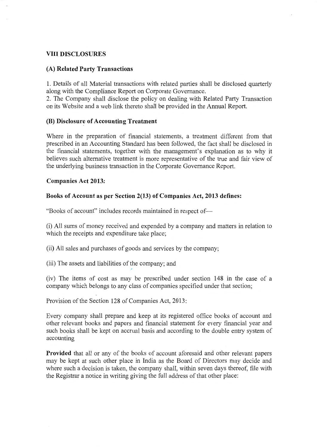# **VIII DISCLOSURES**

## **(A) Related Party Transactions**

1. Details of all Material transactions with related parties shall be disclosed quarterly along with the Compliance Report on Corporate Governance.

2. The Company shall disclose the policy on dealing with Related Party Transaction on its Website and a web link thereto shall be provided in the Annual Report.

## **(B) Disclosure of Accounting Treatment**

Where in the preparation of financial statements, a treatment different from that prescribed in an Accounting Standard has been followed, the fact shall be disclosed in the financial statements, together with the management's explanation as to why it believes such alternative treatment is more representative of the true and fair view of the underlying business transaction in the Corporate Governance Report.

### **Companies Act 2013:**

# **Books of Account as per Section 2(13) of Companies Act, 2013 defines:**

"Books of account" includes records maintained in respect of-

(i) All sums of money received and expended by a company and matters in relation to which the receipts and expenditure take place;

(ii) All sales and purchases of goods and services by the company;

(iii) The assets and liabilities of the company; and /

(iv) The items of cost as may be prescribed under section 148 in the case of a company which belongs to any class of companies specified under that section;

Provision of the Section 128 of Companies Act, 2013:

Every company shall prepare and keep at its registered office books of account and other relevant books and papers and financial statement for every financial year and such books shall be kept on accrual basis and according to the double entry system of accounting

**Provided** that all or any of the books of account aforesaid and other relevant papers may be kept at such other place in India as the Board of Directors may decide and where such a decision is taken, the company shall, within seven days thereof, file with the Registrar a notice in writing giving the full address of that other place: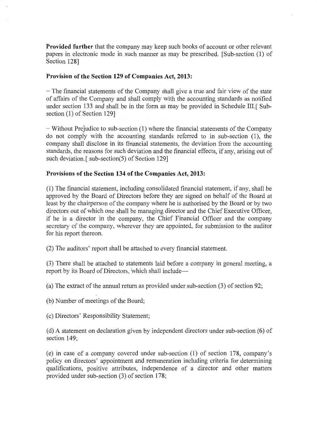**Provided further** that the company may keep such books of account or other relevant papers in electronic mode in such manner as may be prescribed. [Sub-section (1) of Section 128]

### **Provision of the Section 129 of Companies Act, 2013:**

- The financial statements of the Company shall give a true and fair view of the state of affairs of the Company and shall comply with the accounting standards as notified under section 133 and shall be in the form as may be provided in Schedule III. [Subsection (1) of Section 129]

- Without PreJudice to sub-section (1) where the financial statements of the Company do not comply with the accounting standards referred to in sub-section (1), the company shall disclose in its financial statements, the deviation from the accounting standards, the reasons for such deviation and the financial effects, if any, arising out of such deviation.[ sub-section(5) of Section 129]

### **Provisions of the Section 134 of the Companies Act, 2013:**

(1) The financial statement, including consolidated financial statement , if any, shall be approved by the Board of Directors before they are signed on behalf of the Board at least by the chairperson of the company where he is authorised by the Board or by two directors out of which one shall be managing director and the Chief Executive Officer, if he is a director in the company, the Chief Financial Officer and the company secretary of the company, wherever they are appointed, for submission to the auditor for his report thereon.

(2) The auditors ' report shall be attached to every financial statement.

(3) There shall be attached to statements laid before a company in general meeting, a report by its Board of Directors, which shall include-

(a) The extract of the annual return as provided under sub-section (3) of section 92;

(b) Number of meetings of the Board;

( c) Directors ' Responsibility Statement;

(d) A statement on declaration given by independent directors under sub-section (6) of section 149;

(e) in case of a company covered under sub-section (1) of section 178, company's policy on directors' appointment and remuneration including criteria for determining qualifications, positive attributes, independence of a director and other matters provided under sub-section (3) of section 178;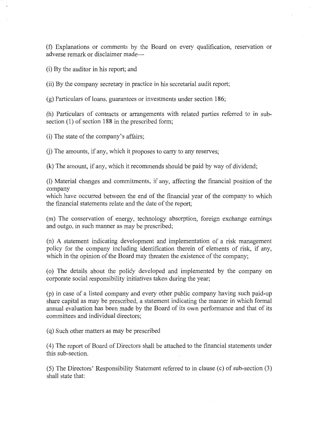(f) Explanations or comments by the Board on every qualification, reservation or adverse remark or disclaimer made-

(i) By the auditor in his report; and

(ii) By the company secretary in practice in his secretarial audit report;

(g) Particulars of loans, guarantees or investments under section 186;

(h) Particulars of contracts or arrangements with related parties referred to in subsection  $(1)$  of section 188 in the prescribed form;

(i) The state of the company's affairs;

 $(i)$  The amounts, if any, which it proposes to carry to any reserves;

(k) The amount , if any, which it recommends should be paid by way of dividend;

(1) Material changes and commitments, if any, affecting the financial position of the company

which have occurred between the end of the financial year of the company to which the financial statements relate and the date of the report;

(m) The conservation of energy , technology absorption, foreign exchange earnings and outgo, in such manner as may be prescribed;

(n) A statement indicating development and implementation of a risk management policy for the company including identification therein of elements of risk, if any, which in the opinion of the Board may threaten the existence of the company;

( o) The details about the policy developed and implemented by the company on corporate social responsibility initiatives taken during the year;

(p) in case of a listed company and every other public company having such paid-up share capital as may be prescribed, a statement indicating the manner in which formal annual evaluation has been made by the Board of its own performance and that of its committees and individual directors;

( q) Such other matters as may be prescribed

( 4) The report of Board of Directors shall be attached to the financial statements under this sub-section.

(5) The Directors' Responsibility Statement referred to in clause (c) of sub-section (3) shall state that: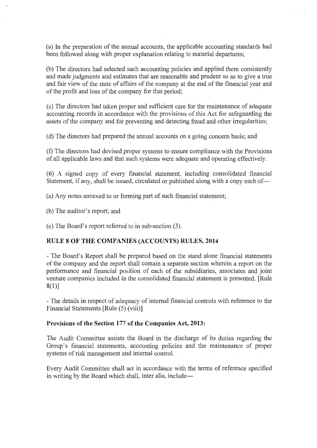(a) In the preparation of the annual accounts, the applicable accounting standards had been followed along with proper explanation relating to material departures;

(b) The directors had selected such accounting policies and applied them consistently and made judgments and estimates that are reasonable and prudent so as to give a true and fair view of the state of affairs of the company at the end of the financial year and of the profit and loss of the company for that period;

( c) The directors had taken proper and sufficient care for the maintenance of adequate accounting records in accordance with the provisions of this Act for safeguarding the assets of the company and for preventing and detecting fraud and other irregularities;

(d) The directors had prepared the annual accounts on a going concern basis; and

(f) The directors had devised proper systems to ensure compliance with the Provisions of all applicable laws and that such systems were adequate and operating effectively.

(6) A signed copy of every financial statement, including consolidated financial Statement, if any, shall be issued, circulated or published along with a copy each of-

(a) Any notes annexed to or forming part of such financial statement;

(b) The auditor 's report; and

(c) The Board's report referred to in sub-section (3).

### **RULE 8 OF THE COMPANIES (ACCOUNTS) RULES, 2014**

- The Board's Report shall be prepared based on the stand alone financial statements of the company and the report shall contain a separate section wherein a report on the performance and financial position of each of the subsidiaries , associates and joint venture companies included in the consolidated financial statement is presented. [Rule 8(1)]

- The details in respect of adequacy of internal financial controls with reference to the Financial Statements.[Rule (5) (viii)]

### **Provisions of the Section 177 of the Companies Act, 2013:**

The Audit Committee assists the Board in the discharge of its duties regarding the Group's financial statements, accounting policies and the maintenance of proper systems of risk management and internal control.

Every Audit Committee shall act in accordance with the terms of reference specified in writing by the Board which shall, inter alia, include